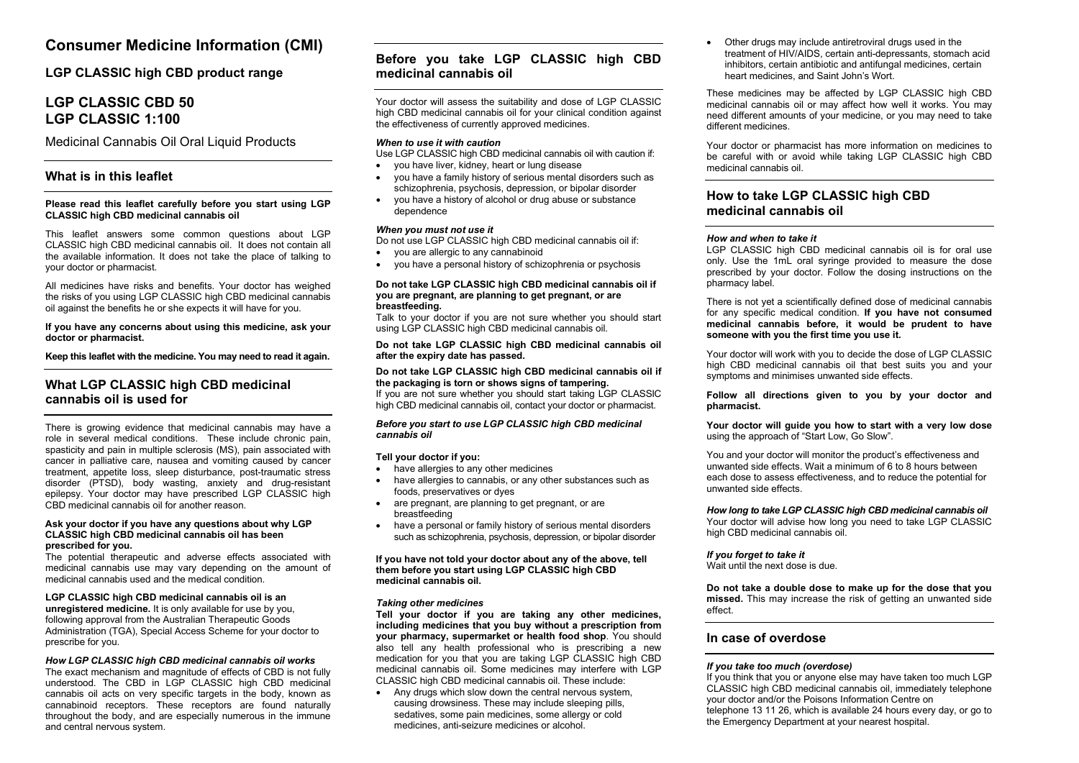# **Consumer Medicine Information (CMI)**

**LGP CLASSIC high CBD product range**

# **LGP CLASSIC CBD 50 LGP CLASSIC 1:100**

Medicinal Cannabis Oil Oral Liquid Products

# **What is in this leaflet**

### **Please read this leaflet carefully before you start using LGP CLASSIC high CBD medicinal cannabis oil**

This leaflet answers some common questions about LGP CLASSIC high CBD medicinal cannabis oil. It does not contain all the available information. It does not take the place of talking to your doctor or pharmacist.

All medicines have risks and benefits. Your doctor has weighed the risks of you using LGP CLASSIC high CBD medicinal cannabis oil against the benefits he or she expects it will have for you.

**If you have any concerns about using this medicine, ask your doctor or pharmacist.**

**Keep this leaflet with the medicine. You may need to read it again.**

# **What LGP CLASSIC high CBD medicinal cannabis oil is used for**

There is growing evidence that medicinal cannabis may have a role in several medical conditions. These include chronic pain, spasticity and pain in multiple sclerosis (MS), pain associated with cancer in palliative care, nausea and vomiting caused by cancer treatment, appetite loss, sleep disturbance, post-traumatic stress disorder (PTSD), body wasting, anxiety and drug-resistant epilepsy. Your doctor may have prescribed LGP CLASSIC high CBD medicinal cannabis oil for another reason.

#### **Ask your doctor if you have any questions about why LGP CLASSIC high CBD medicinal cannabis oil has been prescribed for you.**

The potential therapeutic and adverse effects associated with medicinal cannabis use may vary depending on the amount of medicinal cannabis used and the medical condition.

### **LGP CLASSIC high CBD medicinal cannabis oil is an**

**unregistered medicine.** It is only available for use by you, following approval from the Australian Therapeutic Goods Administration (TGA), Special Access Scheme for your doctor to prescribe for you.

### *How LGP CLASSIC high CBD medicinal cannabis oil works*

The exact mechanism and magnitude of effects of CBD is not fully understood. The CBD in LGP CLASSIC high CBD medicinal cannabis oil acts on very specific targets in the body, known as cannabinoid receptors. These receptors are found naturally throughout the body, and are especially numerous in the immune and central nervous system.

# **Before you take LGP CLASSIC high CBD medicinal cannabis oil**

Your doctor will assess the suitability and dose of LGP CLASSIC high CBD medicinal cannabis oil for your clinical condition against the effectiveness of currently approved medicines.

### *When to use it with caution*

Use LGP CLASSIC high CBD medicinal cannabis oil with caution if:

- you have liver, kidney, heart or lung disease
- you have a family history of serious mental disorders such as schizophrenia, psychosis, depression, or bipolar disorder
- you have a history of alcohol or drug abuse or substance dependence

### *When you must not use it*

Do not use LGP CLASSIC high CBD medicinal cannabis oil if:

- you are allergic to any cannabinoid
- you have a personal history of schizophrenia or psychosis

### **Do not take LGP CLASSIC high CBD medicinal cannabis oil if you are pregnant, are planning to get pregnant, or are breastfeeding.**

Talk to your doctor if you are not sure whether you should start using LGP CLASSIC high CBD medicinal cannabis oil.

### **Do not take LGP CLASSIC high CBD medicinal cannabis oil after the expiry date has passed.**

### **Do not take LGP CLASSIC high CBD medicinal cannabis oil if the packaging is torn or shows signs of tampering.**

If you are not sure whether you should start taking LGP CLASSIC high CBD medicinal cannabis oil, contact your doctor or pharmacist.

### *Before you start to use LGP CLASSIC high CBD medicinal cannabis oil*

### **Tell your doctor if you:**

- have allergies to any other medicines
- have allergies to cannabis, or any other substances such as foods, preservatives or dyes
- are pregnant, are planning to get pregnant, or are breastfeeding
- have a personal or family history of serious mental disorders such as schizophrenia, psychosis, depression, or bipolar disorder

**If you have not told your doctor about any of the above, tell them before you start using LGP CLASSIC high CBD medicinal cannabis oil.**

### *Taking other medicines*

**Tell your doctor if you are taking any other medicines, including medicines that you buy without a prescription from your pharmacy, supermarket or health food shop**. You should also tell any health professional who is prescribing a new medication for you that you are taking LGP CLASSIC high CBD medicinal cannabis oil. Some medicines may interfere with LGP CLASSIC high CBD medicinal cannabis oil. These include:

• Any drugs which slow down the central nervous system, causing drowsiness. These may include sleeping pills, sedatives, some pain medicines, some allergy or cold medicines, anti-seizure medicines or alcohol.

• Other drugs may include antiretroviral drugs used in the treatment of HIV/AIDS, certain anti-depressants, stomach acid inhibitors, certain antibiotic and antifungal medicines, certain heart medicines, and Saint John's Wort.

These medicines may be affected by LGP CLASSIC high CBD medicinal cannabis oil or may affect how well it works. You may need different amounts of your medicine, or you may need to take different medicines.

Your doctor or pharmacist has more information on medicines to be careful with or avoid while taking LGP CLASSIC high CBD medicinal cannabis oil.

### **How to take LGP CLASSIC high CBD medicinal cannabis oil**

### *How and when to take it*

LGP CLASSIC high CBD medicinal cannabis oil is for oral use only. Use the 1mL oral syringe provided to measure the dose prescribed by your doctor. Follow the dosing instructions on the pharmacy label.

There is not yet a scientifically defined dose of medicinal cannabis for any specific medical condition. **If you have not consumed medicinal cannabis before, it would be prudent to have someone with you the first time you use it.**

Your doctor will work with you to decide the dose of LGP CLASSIC high CBD medicinal cannabis oil that best suits you and your symptoms and minimises unwanted side effects.

**Follow all directions given to you by your doctor and pharmacist.** 

#### **Your doctor will guide you how to start with a very low dose** using the approach of "Start Low, Go Slow".

You and your doctor will monitor the product's effectiveness and unwanted side effects. Wait a minimum of 6 to 8 hours between each dose to assess effectiveness, and to reduce the potential for unwanted side effects.

### *How long to take LGP CLASSIC high CBD medicinal cannabis oil*

Your doctor will advise how long you need to take LGP CLASSIC high CBD medicinal cannabis oil.

### *If you forget to take it*

Wait until the next dose is due.

**Do not take a double dose to make up for the dose that you missed.** This may increase the risk of getting an unwanted side effect.

### **In case of overdose**

### *If you take too much (overdose)*

If you think that you or anyone else may have taken too much LGP CLASSIC high CBD medicinal cannabis oil, immediately telephone your doctor and/or the Poisons Information Centre on telephone 13 11 26, which is available 24 hours every day, or go to the Emergency Department at your nearest hospital.